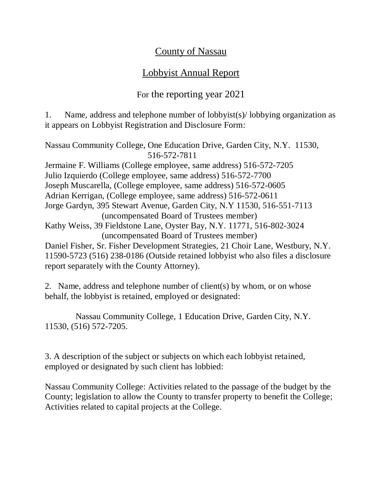## County of Nassau

## Lobbyist Annual Report

## For the reporting year 2021

1. Name, address and telephone number of lobbyist(s)/ lobbying organization as it appears on Lobbyist Registration and Disclosure Form:

Nassau Community College, One Education Drive, Garden City, N.Y. 11530, 516-572-7811 Jermaine F. Williams (College employee, same address) 516-572-7205 Julio Izquierdo (College employee, same address) 516-572-7700 Joseph Muscarella, (College employee, same address) 516-572-0605 Adrian Kerrigan, (College employee, same address) 516-572-0611 Jorge Gardyn, 395 Stewart Avenue, Garden City, N.Y 11530, 516-551-7113 (uncompensated Board of Trustees member) Kathy Weiss, 39 Fieldstone Lane, Oyster Bay, N.Y. 11771, 516-802-3024 (uncompensated Board of Trustees member) Daniel Fisher, Sr. Fisher Development Strategies, 21 Choir Lane, Westbury, N.Y. 11590-5723 (516) 238-0186 (Outside retained lobbyist who also files a disclosure report separately with the County Attorney).

2. Name, address and telephone number of client(s) by whom, or on whose behalf, the lobbyist is retained, employed or designated:

 Nassau Community College, 1 Education Drive, Garden City, N.Y. 11530, (516) 572-7205.

3. A description of the subject or subjects on which each lobbyist retained, employed or designated by such client has lobbied:

Nassau Community College: Activities related to the passage of the budget by the County; legislation to allow the County to transfer property to benefit the College; Activities related to capital projects at the College.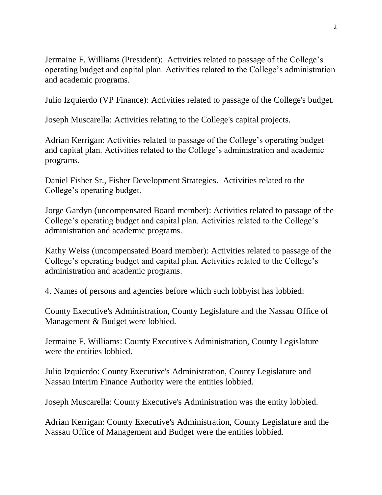Jermaine F. Williams (President): Activities related to passage of the College's operating budget and capital plan. Activities related to the College's administration and academic programs.

Julio Izquierdo (VP Finance): Activities related to passage of the College's budget.

Joseph Muscarella: Activities relating to the College's capital projects.

Adrian Kerrigan: Activities related to passage of the College's operating budget and capital plan. Activities related to the College's administration and academic programs.

Daniel Fisher Sr., Fisher Development Strategies. Activities related to the College's operating budget.

Jorge Gardyn (uncompensated Board member): Activities related to passage of the College's operating budget and capital plan. Activities related to the College's administration and academic programs.

Kathy Weiss (uncompensated Board member): Activities related to passage of the College's operating budget and capital plan. Activities related to the College's administration and academic programs.

4. Names of persons and agencies before which such lobbyist has lobbied:

County Executive's Administration, County Legislature and the Nassau Office of Management & Budget were lobbied.

Jermaine F. Williams: County Executive's Administration, County Legislature were the entities lobbied.

Julio Izquierdo: County Executive's Administration, County Legislature and Nassau Interim Finance Authority were the entities lobbied.

Joseph Muscarella: County Executive's Administration was the entity lobbied.

Adrian Kerrigan: County Executive's Administration, County Legislature and the Nassau Office of Management and Budget were the entities lobbied.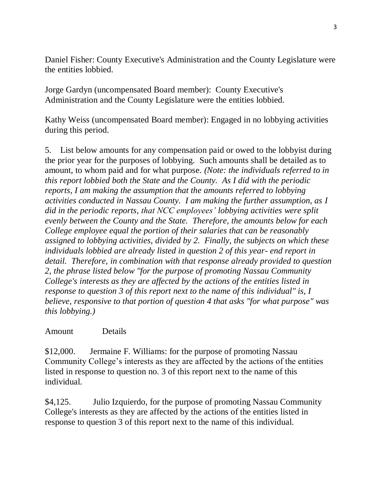Daniel Fisher: County Executive's Administration and the County Legislature were the entities lobbied.

Jorge Gardyn (uncompensated Board member): County Executive's Administration and the County Legislature were the entities lobbied.

Kathy Weiss (uncompensated Board member): Engaged in no lobbying activities during this period.

5. List below amounts for any compensation paid or owed to the lobbyist during the prior year for the purposes of lobbying. Such amounts shall be detailed as to amount, to whom paid and for what purpose. *(Note: the individuals referred to in this report lobbied both the State and the County. As I did with the periodic reports, I am making the assumption that the amounts referred to lobbying activities conducted in Nassau County. I am making the further assumption, as I did in the periodic reports, that NCC employees' lobbying activities were split evenly between the County and the State. Therefore, the amounts below for each College employee equal the portion of their salaries that can be reasonably assigned to lobbying activities, divided by 2. Finally, the subjects on which these individuals lobbied are already listed in question 2 of this year- end report in detail. Therefore, in combination with that response already provided to question 2, the phrase listed below "for the purpose of promoting Nassau Community College's interests as they are affected by the actions of the entities listed in response to question 3 of this report next to the name of this individual" is, I believe, responsive to that portion of question 4 that asks "for what purpose" was this lobbying.)*

## Amount Details

\$12,000. Jermaine F. Williams: for the purpose of promoting Nassau Community College's interests as they are affected by the actions of the entities listed in response to question no. 3 of this report next to the name of this individual.

\$4,125. Julio Izquierdo, for the purpose of promoting Nassau Community College's interests as they are affected by the actions of the entities listed in response to question 3 of this report next to the name of this individual.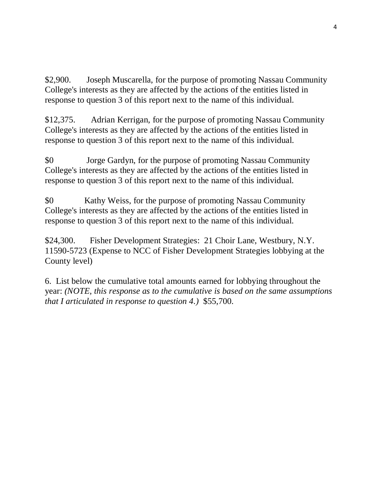\$2,900. Joseph Muscarella, for the purpose of promoting Nassau Community College's interests as they are affected by the actions of the entities listed in response to question 3 of this report next to the name of this individual.

\$12,375. Adrian Kerrigan, for the purpose of promoting Nassau Community College's interests as they are affected by the actions of the entities listed in response to question 3 of this report next to the name of this individual.

\$0 Jorge Gardyn, for the purpose of promoting Nassau Community College's interests as they are affected by the actions of the entities listed in response to question 3 of this report next to the name of this individual.

\$0 Kathy Weiss, for the purpose of promoting Nassau Community College's interests as they are affected by the actions of the entities listed in response to question 3 of this report next to the name of this individual.

\$24,300. Fisher Development Strategies: 21 Choir Lane, Westbury, N.Y. 11590-5723 (Expense to NCC of Fisher Development Strategies lobbying at the County level)

6. List below the cumulative total amounts earned for lobbying throughout the year: *(NOTE, this response as to the cumulative is based on the same assumptions that I articulated in response to question 4.)* \$55,700.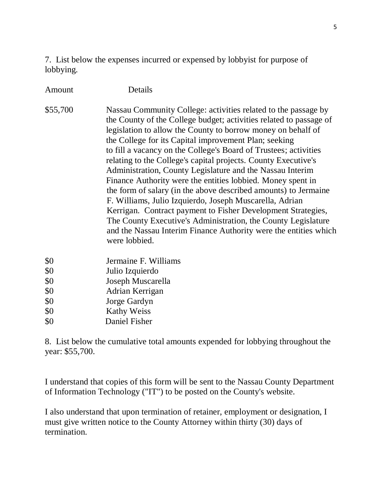7. List below the expenses incurred or expensed by lobbyist for purpose of lobbying.

Amount Details

\$55,700 Nassau Community College: activities related to the passage by the County of the College budget; activities related to passage of legislation to allow the County to borrow money on behalf of the College for its Capital improvement Plan; seeking to fill a vacancy on the College's Board of Trustees; activities relating to the College's capital projects. County Executive's Administration, County Legislature and the Nassau Interim Finance Authority were the entities lobbied. Money spent in the form of salary (in the above described amounts) to Jermaine F. Williams, Julio Izquierdo, Joseph Muscarella, Adrian Kerrigan. Contract payment to Fisher Development Strategies, The County Executive's Administration, the County Legislature and the Nassau Interim Finance Authority were the entities which were lobbied.

- \$0 Jermaine F. Williams
- \$0 Julio Izquierdo
- \$0 Joseph Muscarella
- \$0 Adrian Kerrigan
- \$0 Jorge Gardyn
- \$0 Kathy Weiss
- \$0 Daniel Fisher

8. List below the cumulative total amounts expended for lobbying throughout the year: \$55,700.

I understand that copies of this form will be sent to the Nassau County Department of Information Technology ("IT") to be posted on the County's website.

I also understand that upon termination of retainer, employment or designation, I must give written notice to the County Attorney within thirty (30) days of termination.